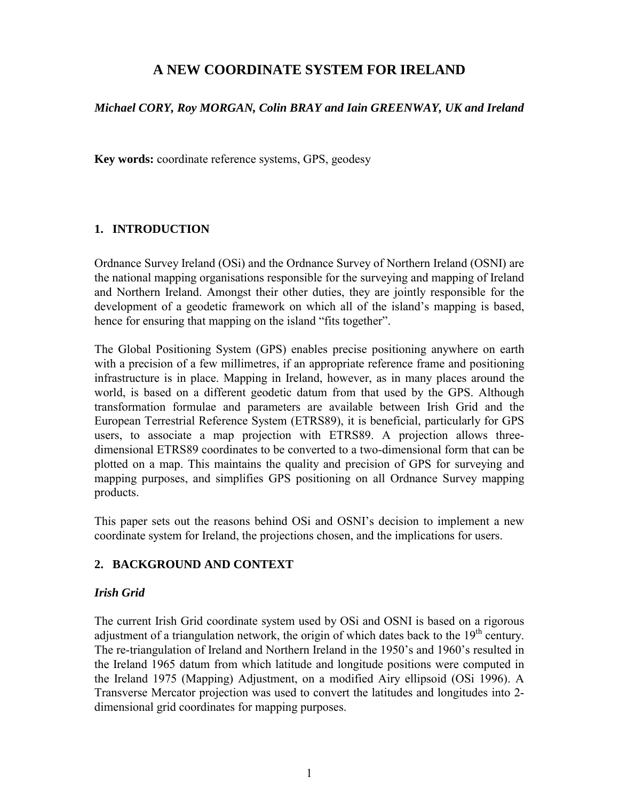# **A NEW COORDINATE SYSTEM FOR IRELAND**

### *Michael CORY, Roy MORGAN, Colin BRAY and Iain GREENWAY, UK and Ireland*

**Key words:** coordinate reference systems, GPS, geodesy

### **1. INTRODUCTION**

Ordnance Survey Ireland (OSi) and the Ordnance Survey of Northern Ireland (OSNI) are the national mapping organisations responsible for the surveying and mapping of Ireland and Northern Ireland. Amongst their other duties, they are jointly responsible for the development of a geodetic framework on which all of the island's mapping is based, hence for ensuring that mapping on the island "fits together".

The Global Positioning System (GPS) enables precise positioning anywhere on earth with a precision of a few millimetres, if an appropriate reference frame and positioning infrastructure is in place. Mapping in Ireland, however, as in many places around the world, is based on a different geodetic datum from that used by the GPS. Although transformation formulae and parameters are available between Irish Grid and the European Terrestrial Reference System (ETRS89), it is beneficial, particularly for GPS users, to associate a map projection with ETRS89. A projection allows threedimensional ETRS89 coordinates to be converted to a two-dimensional form that can be plotted on a map. This maintains the quality and precision of GPS for surveying and mapping purposes, and simplifies GPS positioning on all Ordnance Survey mapping products.

This paper sets out the reasons behind OSi and OSNI's decision to implement a new coordinate system for Ireland, the projections chosen, and the implications for users.

### **2. BACKGROUND AND CONTEXT**

### *Irish Grid*

The current Irish Grid coordinate system used by OSi and OSNI is based on a rigorous adjustment of a triangulation network, the origin of which dates back to the  $19<sup>th</sup>$  century. The re-triangulation of Ireland and Northern Ireland in the 1950's and 1960's resulted in the Ireland 1965 datum from which latitude and longitude positions were computed in the Ireland 1975 (Mapping) Adjustment, on a modified Airy ellipsoid (OSi 1996). A Transverse Mercator projection was used to convert the latitudes and longitudes into 2 dimensional grid coordinates for mapping purposes.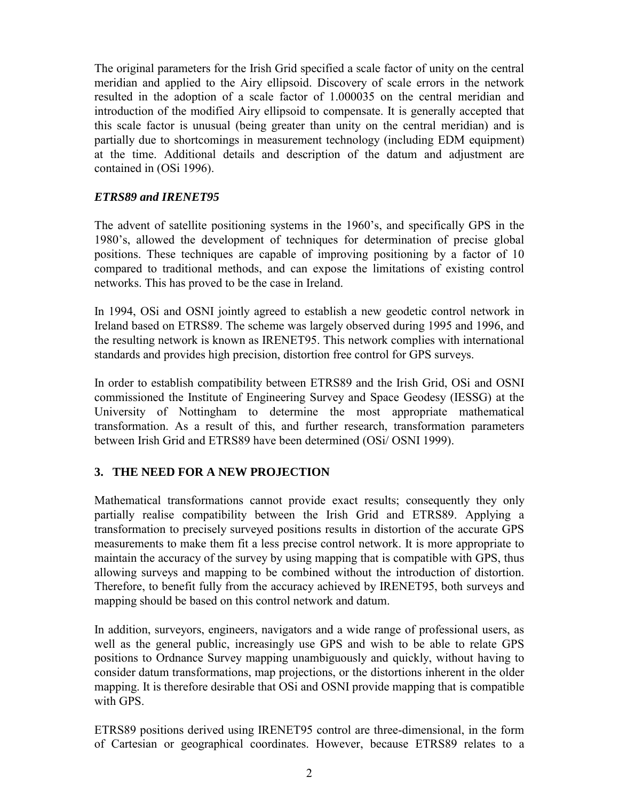The original parameters for the Irish Grid specified a scale factor of unity on the central meridian and applied to the Airy ellipsoid. Discovery of scale errors in the network resulted in the adoption of a scale factor of 1.000035 on the central meridian and introduction of the modified Airy ellipsoid to compensate. It is generally accepted that this scale factor is unusual (being greater than unity on the central meridian) and is partially due to shortcomings in measurement technology (including EDM equipment) at the time. Additional details and description of the datum and adjustment are contained in (OSi 1996).

### *ETRS89 and IRENET95*

The advent of satellite positioning systems in the 1960's, and specifically GPS in the 1980's, allowed the development of techniques for determination of precise global positions. These techniques are capable of improving positioning by a factor of 10 compared to traditional methods, and can expose the limitations of existing control networks. This has proved to be the case in Ireland.

In 1994, OSi and OSNI jointly agreed to establish a new geodetic control network in Ireland based on ETRS89. The scheme was largely observed during 1995 and 1996, and the resulting network is known as IRENET95. This network complies with international standards and provides high precision, distortion free control for GPS surveys.

In order to establish compatibility between ETRS89 and the Irish Grid, OSi and OSNI commissioned the Institute of Engineering Survey and Space Geodesy (IESSG) at the University of Nottingham to determine the most appropriate mathematical transformation. As a result of this, and further research, transformation parameters between Irish Grid and ETRS89 have been determined (OSi/ OSNI 1999).

### **3. THE NEED FOR A NEW PROJECTION**

Mathematical transformations cannot provide exact results; consequently they only partially realise compatibility between the Irish Grid and ETRS89. Applying a transformation to precisely surveyed positions results in distortion of the accurate GPS measurements to make them fit a less precise control network. It is more appropriate to maintain the accuracy of the survey by using mapping that is compatible with GPS, thus allowing surveys and mapping to be combined without the introduction of distortion. Therefore, to benefit fully from the accuracy achieved by IRENET95, both surveys and mapping should be based on this control network and datum.

In addition, surveyors, engineers, navigators and a wide range of professional users, as well as the general public, increasingly use GPS and wish to be able to relate GPS positions to Ordnance Survey mapping unambiguously and quickly, without having to consider datum transformations, map projections, or the distortions inherent in the older mapping. It is therefore desirable that OSi and OSNI provide mapping that is compatible with GPS.

ETRS89 positions derived using IRENET95 control are three-dimensional, in the form of Cartesian or geographical coordinates. However, because ETRS89 relates to a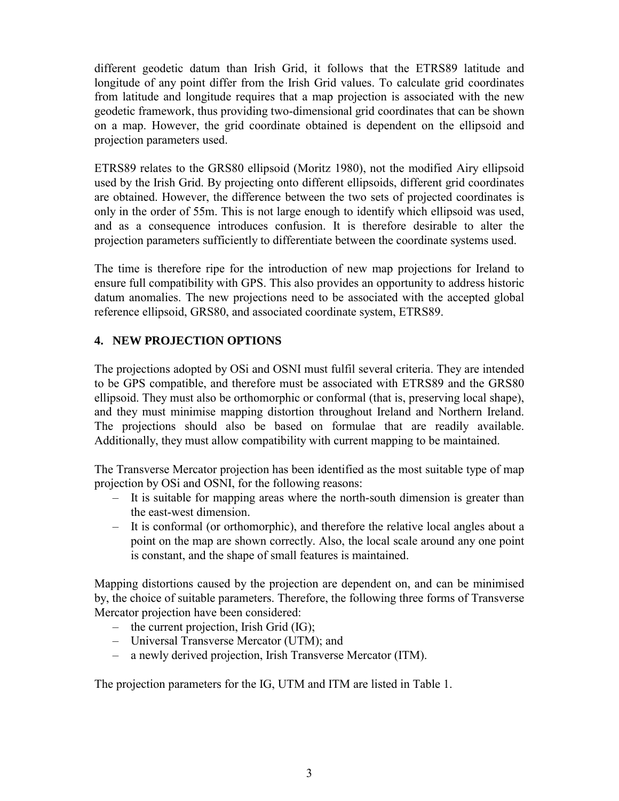different geodetic datum than Irish Grid, it follows that the ETRS89 latitude and longitude of any point differ from the Irish Grid values. To calculate grid coordinates from latitude and longitude requires that a map projection is associated with the new geodetic framework, thus providing two-dimensional grid coordinates that can be shown on a map. However, the grid coordinate obtained is dependent on the ellipsoid and projection parameters used.

ETRS89 relates to the GRS80 ellipsoid (Moritz 1980), not the modified Airy ellipsoid used by the Irish Grid. By projecting onto different ellipsoids, different grid coordinates are obtained. However, the difference between the two sets of projected coordinates is only in the order of 55m. This is not large enough to identify which ellipsoid was used, and as a consequence introduces confusion. It is therefore desirable to alter the projection parameters sufficiently to differentiate between the coordinate systems used.

The time is therefore ripe for the introduction of new map projections for Ireland to ensure full compatibility with GPS. This also provides an opportunity to address historic datum anomalies. The new projections need to be associated with the accepted global reference ellipsoid, GRS80, and associated coordinate system, ETRS89.

# **4. NEW PROJECTION OPTIONS**

The projections adopted by OSi and OSNI must fulfil several criteria. They are intended to be GPS compatible, and therefore must be associated with ETRS89 and the GRS80 ellipsoid. They must also be orthomorphic or conformal (that is, preserving local shape), and they must minimise mapping distortion throughout Ireland and Northern Ireland. The projections should also be based on formulae that are readily available. Additionally, they must allow compatibility with current mapping to be maintained.

The Transverse Mercator projection has been identified as the most suitable type of map projection by OSi and OSNI, for the following reasons:

- It is suitable for mapping areas where the north-south dimension is greater than the east-west dimension.
- It is conformal (or orthomorphic), and therefore the relative local angles about a point on the map are shown correctly. Also, the local scale around any one point is constant, and the shape of small features is maintained.

Mapping distortions caused by the projection are dependent on, and can be minimised by, the choice of suitable parameters. Therefore, the following three forms of Transverse Mercator projection have been considered:

- the current projection, Irish Grid (IG);
- Universal Transverse Mercator (UTM); and
- a newly derived projection, Irish Transverse Mercator (ITM).

The projection parameters for the IG, UTM and ITM are listed in Table 1.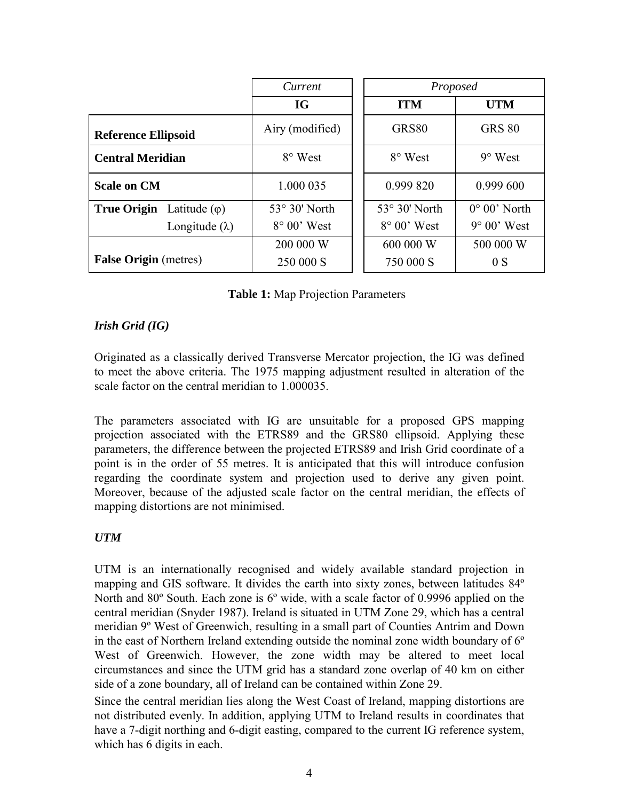|                                            | Current              | Proposed                                        |  |
|--------------------------------------------|----------------------|-------------------------------------------------|--|
|                                            | IG                   | <b>ITM</b><br><b>UTM</b>                        |  |
| <b>Reference Ellipsoid</b>                 | Airy (modified)      | <b>GRS 80</b><br>GRS80                          |  |
| <b>Central Meridian</b>                    | 8° West              | 8° West<br>$9°$ West                            |  |
| <b>Scale on CM</b>                         | 1.000 035            | 0.999 820<br>0.999 600                          |  |
| <b>True Origin</b><br>Latitude $(\varphi)$ | 53° 30' North        | $0^{\circ} 00'$ North<br>$53^{\circ}$ 30' North |  |
| Longitude $(\lambda)$                      | $8^{\circ}$ 00' West | $9^{\circ}$ 00' West<br>$8^{\circ}$ 00' West    |  |
|                                            | 200 000 W            | 600 000 W<br>500 000 W                          |  |
| <b>False Origin</b> (metres)               | 250 000 S            | 750 000 S<br>0 S                                |  |

### **Table 1:** Map Projection Parameters

### *Irish Grid (IG)*

Originated as a classically derived Transverse Mercator projection, the IG was defined to meet the above criteria. The 1975 mapping adjustment resulted in alteration of the scale factor on the central meridian to 1,000035.

The parameters associated with IG are unsuitable for a proposed GPS mapping projection associated with the ETRS89 and the GRS80 ellipsoid. Applying these parameters, the difference between the projected ETRS89 and Irish Grid coordinate of a point is in the order of 55 metres. It is anticipated that this will introduce confusion regarding the coordinate system and projection used to derive any given point. Moreover, because of the adjusted scale factor on the central meridian, the effects of mapping distortions are not minimised.

### *UTM*

UTM is an internationally recognised and widely available standard projection in mapping and GIS software. It divides the earth into sixty zones, between latitudes 84º North and 80º South. Each zone is 6º wide, with a scale factor of 0.9996 applied on the central meridian (Snyder 1987). Ireland is situated in UTM Zone 29, which has a central meridian 9º West of Greenwich, resulting in a small part of Counties Antrim and Down in the east of Northern Ireland extending outside the nominal zone width boundary of 6º West of Greenwich. However, the zone width may be altered to meet local circumstances and since the UTM grid has a standard zone overlap of 40 km on either side of a zone boundary, all of Ireland can be contained within Zone 29.

Since the central meridian lies along the West Coast of Ireland, mapping distortions are not distributed evenly. In addition, applying UTM to Ireland results in coordinates that have a 7-digit northing and 6-digit easting, compared to the current IG reference system, which has 6 digits in each.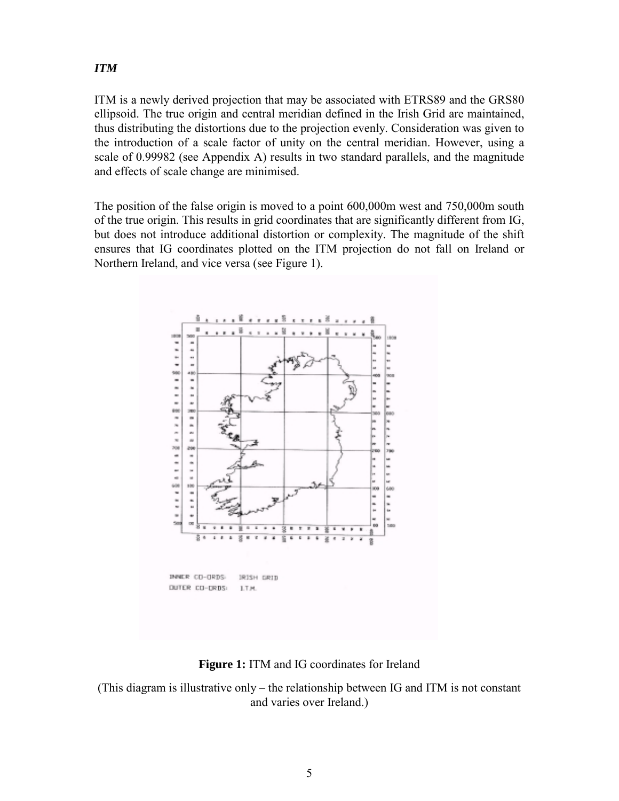ITM is a newly derived projection that may be associated with ETRS89 and the GRS80 ellipsoid. The true origin and central meridian defined in the Irish Grid are maintained, thus distributing the distortions due to the projection evenly. Consideration was given to the introduction of a scale factor of unity on the central meridian. However, using a scale of 0.99982 (see Appendix A) results in two standard parallels, and the magnitude and effects of scale change are minimised.

The position of the false origin is moved to a point 600,000m west and 750,000m south of the true origin. This results in grid coordinates that are significantly different from IG, but does not introduce additional distortion or complexity. The magnitude of the shift ensures that IG coordinates plotted on the ITM projection do not fall on Ireland or Northern Ireland, and vice versa (see Figure 1).



#### **Figure 1:** ITM and IG coordinates for Ireland

(This diagram is illustrative only – the relationship between IG and ITM is not constant and varies over Ireland.)

### *ITM*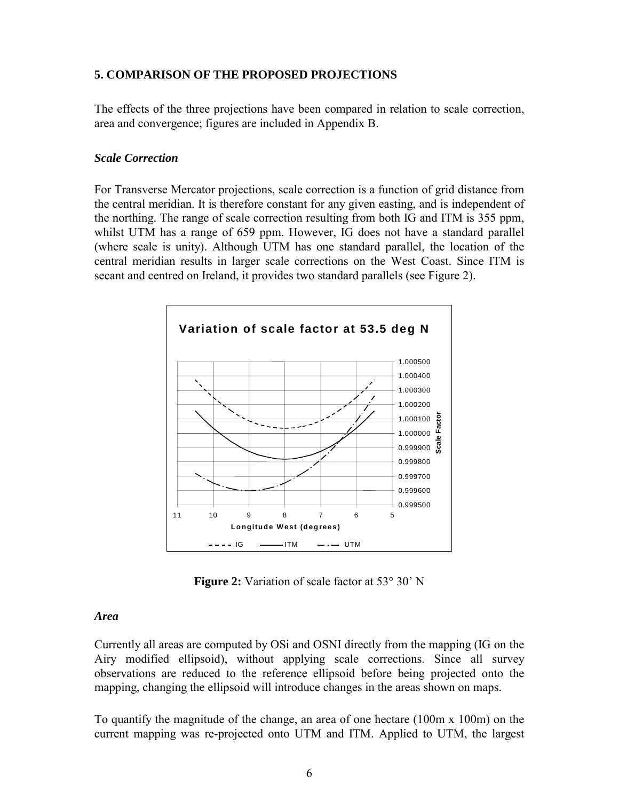### **5. COMPARISON OF THE PROPOSED PROJECTIONS**

The effects of the three projections have been compared in relation to scale correction, area and convergence; figures are included in Appendix B.

#### *Scale Correction*

For Transverse Mercator projections, scale correction is a function of grid distance from the central meridian. It is therefore constant for any given easting, and is independent of the northing. The range of scale correction resulting from both IG and ITM is 355 ppm, whilst UTM has a range of 659 ppm. However, IG does not have a standard parallel (where scale is unity). Although UTM has one standard parallel, the location of the central meridian results in larger scale corrections on the West Coast. Since ITM is secant and centred on Ireland, it provides two standard parallels (see Figure 2).



**Figure 2:** Variation of scale factor at 53° 30' N

#### *Area*

Currently all areas are computed by OSi and OSNI directly from the mapping (IG on the Airy modified ellipsoid), without applying scale corrections. Since all survey observations are reduced to the reference ellipsoid before being projected onto the mapping, changing the ellipsoid will introduce changes in the areas shown on maps.

To quantify the magnitude of the change, an area of one hectare (100m x 100m) on the current mapping was re-projected onto UTM and ITM. Applied to UTM, the largest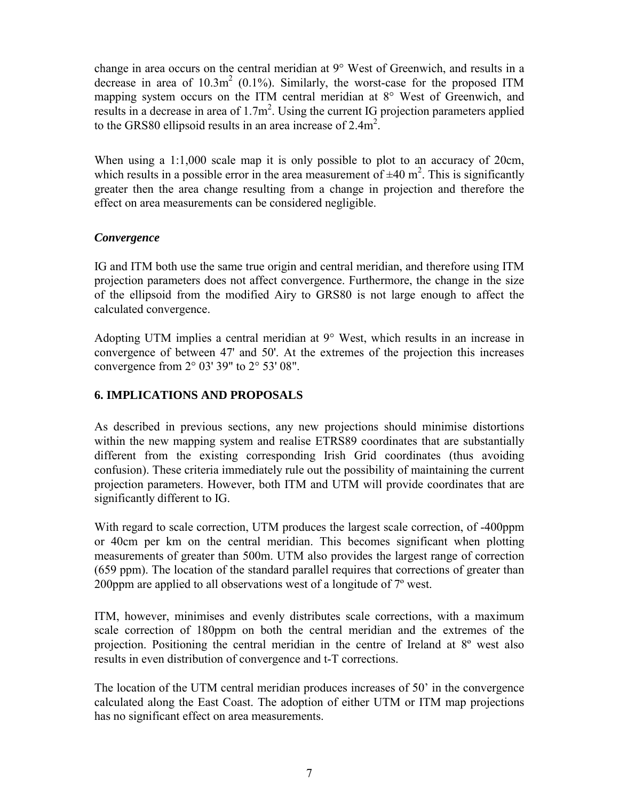change in area occurs on the central meridian at 9° West of Greenwich, and results in a decrease in area of  $10.3m^2$  (0.1%). Similarly, the worst-case for the proposed ITM mapping system occurs on the ITM central meridian at 8° West of Greenwich, and results in a decrease in area of  $1.7m^2$ . Using the current IG projection parameters applied to the GRS80 ellipsoid results in an area increase of  $2.4 \text{m}^2$ .

When using a 1:1,000 scale map it is only possible to plot to an accuracy of 20cm, which results in a possible error in the area measurement of  $\pm 40$  m<sup>2</sup>. This is significantly greater then the area change resulting from a change in projection and therefore the effect on area measurements can be considered negligible.

#### *Convergence*

IG and ITM both use the same true origin and central meridian, and therefore using ITM projection parameters does not affect convergence. Furthermore, the change in the size of the ellipsoid from the modified Airy to GRS80 is not large enough to affect the calculated convergence.

Adopting UTM implies a central meridian at 9° West, which results in an increase in convergence of between 47' and 50'. At the extremes of the projection this increases convergence from 2° 03' 39" to 2° 53' 08".

# **6. IMPLICATIONS AND PROPOSALS**

As described in previous sections, any new projections should minimise distortions within the new mapping system and realise ETRS89 coordinates that are substantially different from the existing corresponding Irish Grid coordinates (thus avoiding confusion). These criteria immediately rule out the possibility of maintaining the current projection parameters. However, both ITM and UTM will provide coordinates that are significantly different to IG.

With regard to scale correction, UTM produces the largest scale correction, of -400ppm or 40cm per km on the central meridian. This becomes significant when plotting measurements of greater than 500m. UTM also provides the largest range of correction (659 ppm). The location of the standard parallel requires that corrections of greater than 200ppm are applied to all observations west of a longitude of 7º west.

ITM, however, minimises and evenly distributes scale corrections, with a maximum scale correction of 180ppm on both the central meridian and the extremes of the projection. Positioning the central meridian in the centre of Ireland at 8º west also results in even distribution of convergence and t-T corrections.

The location of the UTM central meridian produces increases of 50' in the convergence calculated along the East Coast. The adoption of either UTM or ITM map projections has no significant effect on area measurements.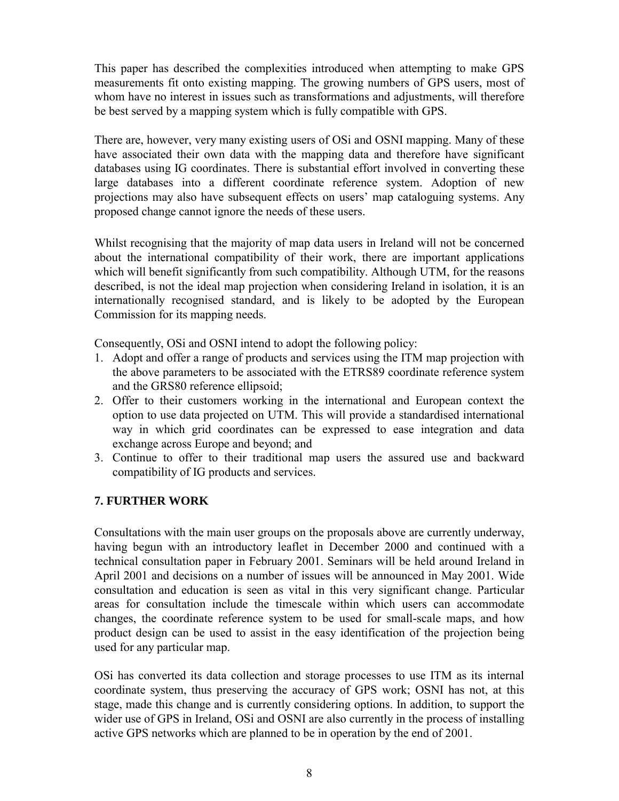This paper has described the complexities introduced when attempting to make GPS measurements fit onto existing mapping. The growing numbers of GPS users, most of whom have no interest in issues such as transformations and adjustments, will therefore be best served by a mapping system which is fully compatible with GPS.

There are, however, very many existing users of OSi and OSNI mapping. Many of these have associated their own data with the mapping data and therefore have significant databases using IG coordinates. There is substantial effort involved in converting these large databases into a different coordinate reference system. Adoption of new projections may also have subsequent effects on users' map cataloguing systems. Any proposed change cannot ignore the needs of these users.

Whilst recognising that the majority of map data users in Ireland will not be concerned about the international compatibility of their work, there are important applications which will benefit significantly from such compatibility. Although UTM, for the reasons described, is not the ideal map projection when considering Ireland in isolation, it is an internationally recognised standard, and is likely to be adopted by the European Commission for its mapping needs.

Consequently, OSi and OSNI intend to adopt the following policy:

- 1. Adopt and offer a range of products and services using the ITM map projection with the above parameters to be associated with the ETRS89 coordinate reference system and the GRS80 reference ellipsoid;
- 2. Offer to their customers working in the international and European context the option to use data projected on UTM. This will provide a standardised international way in which grid coordinates can be expressed to ease integration and data exchange across Europe and beyond; and
- 3. Continue to offer to their traditional map users the assured use and backward compatibility of IG products and services.

### **7. FURTHER WORK**

Consultations with the main user groups on the proposals above are currently underway, having begun with an introductory leaflet in December 2000 and continued with a technical consultation paper in February 2001. Seminars will be held around Ireland in April 2001 and decisions on a number of issues will be announced in May 2001. Wide consultation and education is seen as vital in this very significant change. Particular areas for consultation include the timescale within which users can accommodate changes, the coordinate reference system to be used for small-scale maps, and how product design can be used to assist in the easy identification of the projection being used for any particular map.

OSi has converted its data collection and storage processes to use ITM as its internal coordinate system, thus preserving the accuracy of GPS work; OSNI has not, at this stage, made this change and is currently considering options. In addition, to support the wider use of GPS in Ireland, OSi and OSNI are also currently in the process of installing active GPS networks which are planned to be in operation by the end of 2001.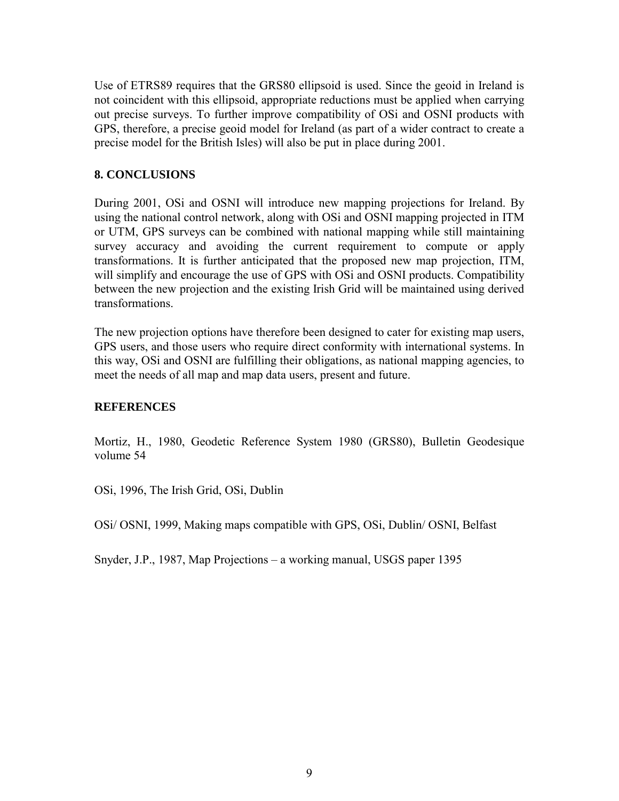Use of ETRS89 requires that the GRS80 ellipsoid is used. Since the geoid in Ireland is not coincident with this ellipsoid, appropriate reductions must be applied when carrying out precise surveys. To further improve compatibility of OSi and OSNI products with GPS, therefore, a precise geoid model for Ireland (as part of a wider contract to create a precise model for the British Isles) will also be put in place during 2001.

### **8. CONCLUSIONS**

During 2001, OSi and OSNI will introduce new mapping projections for Ireland. By using the national control network, along with OSi and OSNI mapping projected in ITM or UTM, GPS surveys can be combined with national mapping while still maintaining survey accuracy and avoiding the current requirement to compute or apply transformations. It is further anticipated that the proposed new map projection, ITM, will simplify and encourage the use of GPS with OSi and OSNI products. Compatibility between the new projection and the existing Irish Grid will be maintained using derived transformations.

The new projection options have therefore been designed to cater for existing map users, GPS users, and those users who require direct conformity with international systems. In this way, OSi and OSNI are fulfilling their obligations, as national mapping agencies, to meet the needs of all map and map data users, present and future.

#### **REFERENCES**

Mortiz, H., 1980, Geodetic Reference System 1980 (GRS80), Bulletin Geodesique volume 54

OSi, 1996, The Irish Grid, OSi, Dublin

OSi/ OSNI, 1999, Making maps compatible with GPS, OSi, Dublin/ OSNI, Belfast

Snyder, J.P., 1987, Map Projections – a working manual, USGS paper 1395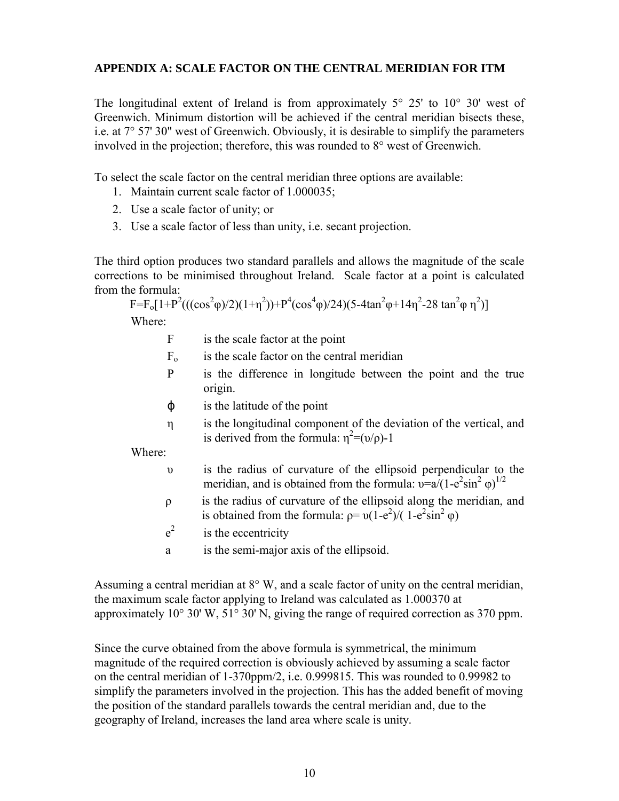### **APPENDIX A: SCALE FACTOR ON THE CENTRAL MERIDIAN FOR ITM**

The longitudinal extent of Ireland is from approximately  $5^{\circ}$   $25'$  to  $10^{\circ}$  30' west of Greenwich. Minimum distortion will be achieved if the central meridian bisects these, i.e. at 7° 57' 30" west of Greenwich. Obviously, it is desirable to simplify the parameters involved in the projection; therefore, this was rounded to 8° west of Greenwich.

To select the scale factor on the central meridian three options are available:

- 1. Maintain current scale factor of 1.000035;
- 2. Use a scale factor of unity; or
- 3. Use a scale factor of less than unity, i.e. secant projection.

The third option produces two standard parallels and allows the magnitude of the scale corrections to be minimised throughout Ireland. Scale factor at a point is calculated from the formula:

F=F<sub>o</sub>[1+P<sup>2</sup>(((cos<sup>2</sup> $\phi$ )/2)(1+η<sup>2</sup>))+P<sup>4</sup>(cos<sup>4</sup> $\phi$ )/24)(5-4tan<sup>2</sup> $\phi$ +14η<sup>2</sup>-28 tan<sup>2</sup> $\phi$  η<sup>2</sup>)]

Where:

- F is the scale factor at the point
- $F<sub>o</sub>$  is the scale factor on the central meridian
- P is the difference in longitude between the point and the true origin.
- ϕ is the latitude of the point
- η is the longitudinal component of the deviation of the vertical, and is derived from the formula:  $\eta^2 = (\upsilon/\rho) - 1$

Where:

- υ is the radius of curvature of the ellipsoid perpendicular to the meridian, and is obtained from the formula:  $v=a/(1-e^2\sin^2\varphi)^{1/2}$
- ρ is the radius of curvature of the ellipsoid along the meridian, and is obtained from the formula:  $p = v(1-e^2)/(1-e^2\sin^2\varphi)$
- $e^2$ is the eccentricity
- a is the semi-major axis of the ellipsoid.

Assuming a central meridian at 8° W, and a scale factor of unity on the central meridian, the maximum scale factor applying to Ireland was calculated as 1.000370 at approximately 10° 30' W, 51° 30' N, giving the range of required correction as 370 ppm.

Since the curve obtained from the above formula is symmetrical, the minimum magnitude of the required correction is obviously achieved by assuming a scale factor on the central meridian of 1-370ppm/2, i.e. 0.999815. This was rounded to 0.99982 to simplify the parameters involved in the projection. This has the added benefit of moving the position of the standard parallels towards the central meridian and, due to the geography of Ireland, increases the land area where scale is unity.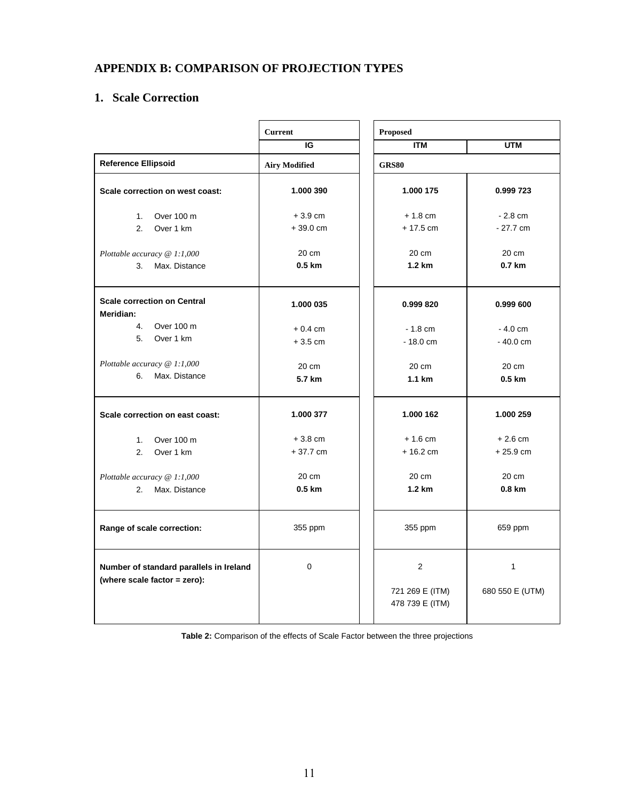# **APPENDIX B: COMPARISON OF PROJECTION TYPES**

# **1. Scale Correction**

|                                                                         | Proposed<br><b>Current</b> |                                                      |                                     |  |
|-------------------------------------------------------------------------|----------------------------|------------------------------------------------------|-------------------------------------|--|
|                                                                         | IG                         | <b>ITM</b>                                           | <b>UTM</b>                          |  |
| <b>Reference Ellipsoid</b>                                              | <b>Airy Modified</b>       | <b>GRS80</b>                                         |                                     |  |
| Scale correction on west coast:                                         | 1.000 390                  | 1.000 175                                            | 0.999 723                           |  |
| 1.<br>Over 100 m<br>2.<br>Over 1 km                                     | $+3.9$ cm<br>$+39.0$ cm    | $+1.8$ cm<br>$+17.5$ cm                              | $-2.8$ cm<br>$-27.7$ cm             |  |
| Plottable accuracy @ 1:1,000<br>Max. Distance<br>3.                     | 20 cm<br>0.5 km            | 20 cm<br>$1.2 \text{ km}$                            | $20 \text{ cm}$<br>$0.7 \text{ km}$ |  |
| <b>Scale correction on Central</b><br>Meridian:                         | 1.000 035                  | 0.999 820                                            | 0.999 600                           |  |
| 4.<br>Over 100 m<br>5. Over 1 km                                        | $+0.4$ cm<br>$+3.5$ cm     | $-1.8$ cm<br>$-18.0$ cm                              | $-4.0 \text{ cm}$<br>$-40.0$ cm     |  |
| Plottable accuracy @ 1:1,000<br>6.<br>Max. Distance                     | 20 cm<br>5.7 km            | 20 cm<br>1.1 km                                      | 20 cm<br>$0.5 \text{ km}$           |  |
| Scale correction on east coast:                                         | 1.000 377                  | 1.000 162                                            | 1.000 259                           |  |
| Over 100 m<br>1 <sup>1</sup><br>2.<br>Over 1 km                         | $+3.8$ cm<br>$+37.7$ cm    | $+1.6$ cm<br>$+16.2$ cm                              | $+2.6$ cm<br>$+25.9$ cm             |  |
| Plottable accuracy @ 1:1,000<br>2.<br>Max. Distance                     | 20 cm<br>$0.5 \text{ km}$  | 20 cm<br>$1.2 \text{ km}$                            | 20 cm<br>0.8 km                     |  |
| Range of scale correction:                                              | 355 ppm                    | 355 ppm                                              | 659 ppm                             |  |
| Number of standard parallels in Ireland<br>(where scale factor = zero): | 0                          | $\overline{2}$<br>721 269 E (ITM)<br>478 739 E (ITM) | $\mathbf{1}$<br>680 550 E (UTM)     |  |

**Table 2:** Comparison of the effects of Scale Factor between the three projections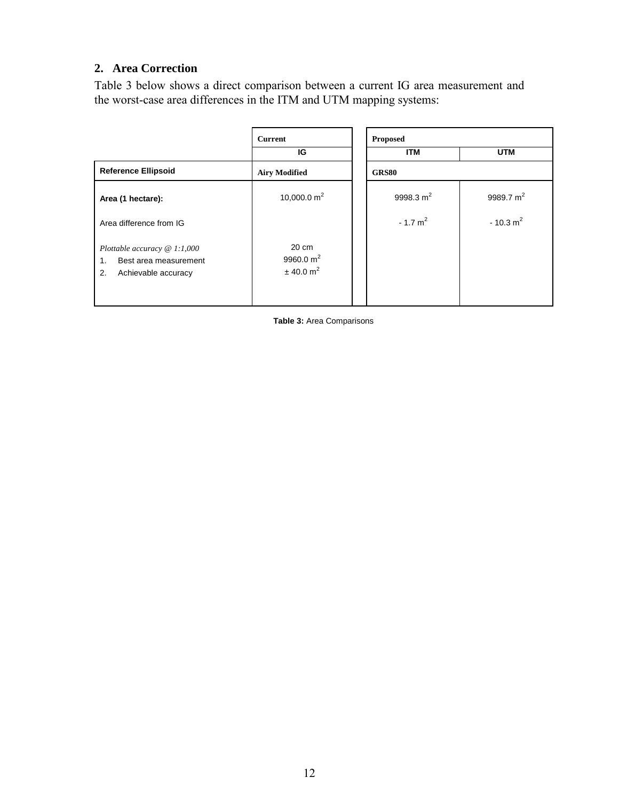# **2. Area Correction**

Table 3 below shows a direct comparison between a current IG area measurement and the worst-case area differences in the ITM and UTM mapping systems:

|                                                                                            | <b>Current</b>                                  | Proposed           |                     |  |
|--------------------------------------------------------------------------------------------|-------------------------------------------------|--------------------|---------------------|--|
|                                                                                            | IG                                              | <b>ITM</b>         | <b>UTM</b>          |  |
| <b>Reference Ellipsoid</b>                                                                 | <b>Airy Modified</b>                            | GRS80              |                     |  |
| Area (1 hectare):                                                                          | 10,000.0 $m2$                                   | 9998.3 $m2$        | 9989.7 $m2$         |  |
| Area difference from IG                                                                    |                                                 | $-1.7 \text{ m}^2$ | $-10.3 \text{ m}^2$ |  |
| Plottable accuracy $@ 1:1,000$<br>Best area measurement<br>1.<br>2.<br>Achievable accuracy | 20 cm<br>9960.0 $m2$<br>$±$ 40.0 m <sup>2</sup> |                    |                     |  |

**Table 3:** Area Comparisons